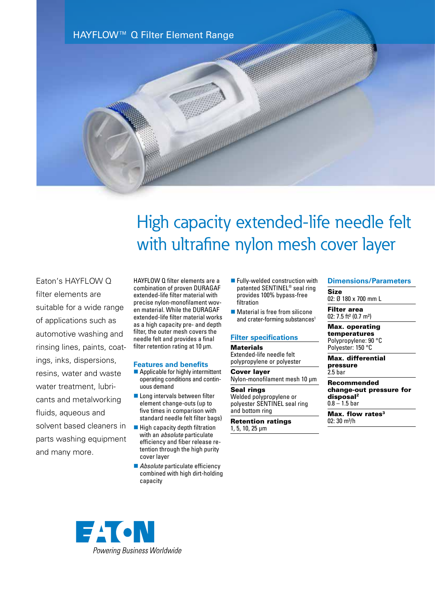HAYFLOW™ Q Filter Element Range

# High capacity extended-life needle felt with ultrafine nylon mesh cover layer

Eaton's HAYFLOW Q filter elements are suitable for a wide range of applications such as automotive washing and rinsing lines, paints, coatings, inks, dispersions, resins, water and waste water treatment, lubricants and metalworking fluids, aqueous and solvent based cleaners in parts washing equipment and many more.

HAYFLOW Q filter elements are a combination of proven DURAGAF extended-life filter material with precise nylon-monofilament woven material. While the DURAGAF extended-life filter material works as a high capacity pre- and depth filter, the outer mesh covers the needle felt and provides a final filter retention rating at 10 μm.

# **Features and benefits**

- $\blacksquare$  Applicable for highly intermittent operating conditions and continuous demand
- $\blacksquare$  Long intervals between filter element change-outs (up to five times in comparison with standard needle felt filter bags)
- $\blacksquare$  High capacity depth filtration with an *absolute* particulate efficiency and fiber release retention through the high purity cover layer
- *Absolute* particulate efficiency combined with high dirt-holding capacity
- **n** Fully-welded construction with patented SENTINEL® seal ring provides 100% bypass-free filtration
- $\blacksquare$  Material is free from silicone and crater-forming substances<sup>1</sup>

# **Filter specifications**

## **Materials** Extended-life needle felt

polypropylene or polyester Cover layer

Nylon-monofilament mesh 10 μm Seal rings

Welded polypropylene or polyester SENTINEL seal ring and bottom ring

Retention ratings 1, 5, 10, 25 µm

# **Dimensions/Parameters**

Size 02: Ø 180 x 700 mm L

Filter area 02: 7.5 ft² (0.7 m²)

Max. operating temperatures Polypropylene: 90 °C Polyester: 150 °C

Max. differential pressure 2.5 bar

Recommended change-out pressure for disposal2  $0.8 - 1.5$  bar

Max. flow rates<sup>3</sup>  $02:30 \text{ m}^3/h$